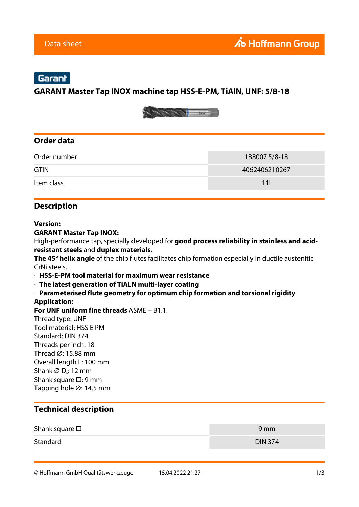# Garant

## **GARANT Master Tap INOX machine tap HSS-E-PM, TiAlN, UNF: 5/8-18**



## **Order data**

| Order number | 138007 5/8-18 |
|--------------|---------------|
| <b>GTIN</b>  | 4062406210267 |
| Item class   | 11I           |

## **Description**

#### **Version:**

#### **GARANT Master Tap INOX:**

High-performance tap, specially developed for **good process reliability in stainless and acidresistant steels** and **duplex materials.**

**The 45° helix angle** of the chip flutes facilitates chip formation especially in ductile austenitic CrNi steels.

· **HSS-E-PM tool material for maximum wear resistance**

· **The latest generation of TiALN multi-layer coating**

· **Parameterised flute geometry for optimum chip formation and torsional rigidity Application:**

**For UNF uniform fine threads** ASME − B1.1.

Thread type: UNF Tool material: HSS E PM Standard: DIN 374 Threads per inch: 18 Thread ⌀: 15.88 mm Overall length L: 100 mm Shank  $\varnothing$  D<sub>s</sub>: 12 mm Shank square □: 9 mm Tapping hole ⌀: 14.5 mm

### **Technical description**

| Shank square $\square$ | 9 mm           |
|------------------------|----------------|
| Standard               | <b>DIN 374</b> |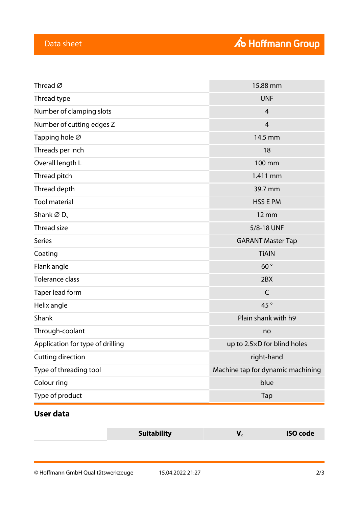| Thread type<br><b>UNF</b><br>Number of clamping slots<br>$\overline{4}$<br>Number of cutting edges Z<br>$\overline{4}$<br>Tapping hole Ø<br>14.5 mm<br>Threads per inch<br>18<br>Overall length L<br>100 mm<br>1.411 mm<br>Thread pitch<br>Thread depth<br>39.7 mm<br><b>Tool material</b><br><b>HSS E PM</b><br>Shank $\varnothing$ D <sub>s</sub><br>$12 \, \text{mm}$<br><b>Thread size</b><br>5/8-18 UNF<br><b>Series</b><br><b>GARANT Master Tap</b><br><b>TiAIN</b><br>Coating<br>60°<br>Flank angle<br><b>Tolerance class</b><br>2BX<br>$\mathsf C$<br>Taper lead form<br>45°<br>Helix angle<br>Plain shank with h9<br>Shank<br>Through-coolant<br>no<br>Application for type of drilling<br>up to 2.5×D for blind holes<br>Cutting direction<br>right-hand<br>Machine tap for dynamic machining<br>Type of threading tool<br>Colour ring<br>blue<br>Type of product<br>Tap | Thread $\varnothing$ | 15.88 mm |  |
|------------------------------------------------------------------------------------------------------------------------------------------------------------------------------------------------------------------------------------------------------------------------------------------------------------------------------------------------------------------------------------------------------------------------------------------------------------------------------------------------------------------------------------------------------------------------------------------------------------------------------------------------------------------------------------------------------------------------------------------------------------------------------------------------------------------------------------------------------------------------------------|----------------------|----------|--|
|                                                                                                                                                                                                                                                                                                                                                                                                                                                                                                                                                                                                                                                                                                                                                                                                                                                                                    |                      |          |  |
|                                                                                                                                                                                                                                                                                                                                                                                                                                                                                                                                                                                                                                                                                                                                                                                                                                                                                    |                      |          |  |
|                                                                                                                                                                                                                                                                                                                                                                                                                                                                                                                                                                                                                                                                                                                                                                                                                                                                                    |                      |          |  |
|                                                                                                                                                                                                                                                                                                                                                                                                                                                                                                                                                                                                                                                                                                                                                                                                                                                                                    |                      |          |  |
|                                                                                                                                                                                                                                                                                                                                                                                                                                                                                                                                                                                                                                                                                                                                                                                                                                                                                    |                      |          |  |
|                                                                                                                                                                                                                                                                                                                                                                                                                                                                                                                                                                                                                                                                                                                                                                                                                                                                                    |                      |          |  |
|                                                                                                                                                                                                                                                                                                                                                                                                                                                                                                                                                                                                                                                                                                                                                                                                                                                                                    |                      |          |  |
|                                                                                                                                                                                                                                                                                                                                                                                                                                                                                                                                                                                                                                                                                                                                                                                                                                                                                    |                      |          |  |
|                                                                                                                                                                                                                                                                                                                                                                                                                                                                                                                                                                                                                                                                                                                                                                                                                                                                                    |                      |          |  |
|                                                                                                                                                                                                                                                                                                                                                                                                                                                                                                                                                                                                                                                                                                                                                                                                                                                                                    |                      |          |  |
|                                                                                                                                                                                                                                                                                                                                                                                                                                                                                                                                                                                                                                                                                                                                                                                                                                                                                    |                      |          |  |
|                                                                                                                                                                                                                                                                                                                                                                                                                                                                                                                                                                                                                                                                                                                                                                                                                                                                                    |                      |          |  |
|                                                                                                                                                                                                                                                                                                                                                                                                                                                                                                                                                                                                                                                                                                                                                                                                                                                                                    |                      |          |  |
|                                                                                                                                                                                                                                                                                                                                                                                                                                                                                                                                                                                                                                                                                                                                                                                                                                                                                    |                      |          |  |
|                                                                                                                                                                                                                                                                                                                                                                                                                                                                                                                                                                                                                                                                                                                                                                                                                                                                                    |                      |          |  |
|                                                                                                                                                                                                                                                                                                                                                                                                                                                                                                                                                                                                                                                                                                                                                                                                                                                                                    |                      |          |  |
|                                                                                                                                                                                                                                                                                                                                                                                                                                                                                                                                                                                                                                                                                                                                                                                                                                                                                    |                      |          |  |
|                                                                                                                                                                                                                                                                                                                                                                                                                                                                                                                                                                                                                                                                                                                                                                                                                                                                                    |                      |          |  |
|                                                                                                                                                                                                                                                                                                                                                                                                                                                                                                                                                                                                                                                                                                                                                                                                                                                                                    |                      |          |  |
|                                                                                                                                                                                                                                                                                                                                                                                                                                                                                                                                                                                                                                                                                                                                                                                                                                                                                    |                      |          |  |
|                                                                                                                                                                                                                                                                                                                                                                                                                                                                                                                                                                                                                                                                                                                                                                                                                                                                                    |                      |          |  |
|                                                                                                                                                                                                                                                                                                                                                                                                                                                                                                                                                                                                                                                                                                                                                                                                                                                                                    |                      |          |  |
|                                                                                                                                                                                                                                                                                                                                                                                                                                                                                                                                                                                                                                                                                                                                                                                                                                                                                    |                      |          |  |
|                                                                                                                                                                                                                                                                                                                                                                                                                                                                                                                                                                                                                                                                                                                                                                                                                                                                                    |                      |          |  |

# **User data**

| Suitability | <b>ISO code</b> |
|-------------|-----------------|
|             |                 |
|             |                 |